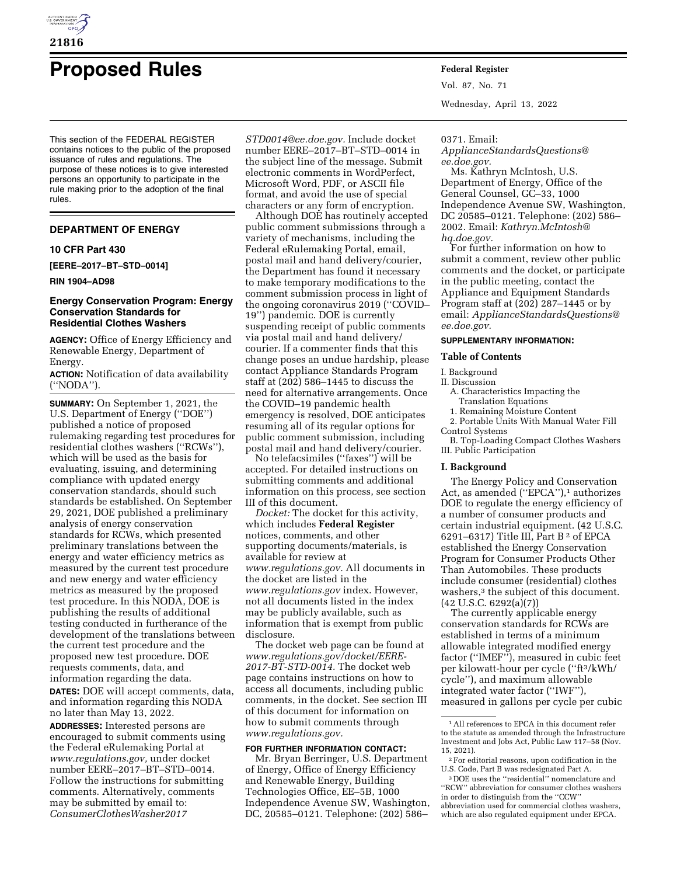

# **Proposed Rules Federal Register**

This section of the FEDERAL REGISTER contains notices to the public of the proposed issuance of rules and regulations. The purpose of these notices is to give interested persons an opportunity to participate in the rule making prior to the adoption of the final rules.

## **DEPARTMENT OF ENERGY**

## **10 CFR Part 430**

**[EERE–2017–BT–STD–0014]** 

## **RIN 1904–AD98**

# **Energy Conservation Program: Energy Conservation Standards for Residential Clothes Washers**

**AGENCY:** Office of Energy Efficiency and Renewable Energy, Department of Energy.

**ACTION:** Notification of data availability (''NODA'').

**SUMMARY:** On September 1, 2021, the U.S. Department of Energy (''DOE'') published a notice of proposed rulemaking regarding test procedures for residential clothes washers (''RCWs''), which will be used as the basis for evaluating, issuing, and determining compliance with updated energy conservation standards, should such standards be established. On September 29, 2021, DOE published a preliminary analysis of energy conservation standards for RCWs, which presented preliminary translations between the energy and water efficiency metrics as measured by the current test procedure and new energy and water efficiency metrics as measured by the proposed test procedure. In this NODA, DOE is publishing the results of additional testing conducted in furtherance of the development of the translations between the current test procedure and the proposed new test procedure. DOE requests comments, data, and information regarding the data. **DATES:** DOE will accept comments, data, and information regarding this NODA no later than May 13, 2022.

**ADDRESSES:** Interested persons are encouraged to submit comments using the Federal eRulemaking Portal at *[www.regulations.gov,](http://www.regulations.gov)* under docket number EERE–2017–BT–STD–0014. Follow the instructions for submitting comments. Alternatively, comments may be submitted by email to: *[ConsumerClothesWasher2017](mailto:ConsumerClothesWasher2017STD0014@ee.doe.gov)*

*[STD0014@ee.doe.gov.](mailto:ConsumerClothesWasher2017STD0014@ee.doe.gov)* Include docket number EERE–2017–BT–STD–0014 in the subject line of the message. Submit electronic comments in WordPerfect, Microsoft Word, PDF, or ASCII file format, and avoid the use of special characters or any form of encryption.

Although DOE has routinely accepted public comment submissions through a variety of mechanisms, including the Federal eRulemaking Portal, email, postal mail and hand delivery/courier, the Department has found it necessary to make temporary modifications to the comment submission process in light of the ongoing coronavirus 2019 (''COVID– 19'') pandemic. DOE is currently suspending receipt of public comments via postal mail and hand delivery/ courier. If a commenter finds that this change poses an undue hardship, please contact Appliance Standards Program staff at (202) 586–1445 to discuss the need for alternative arrangements. Once the COVID–19 pandemic health emergency is resolved, DOE anticipates resuming all of its regular options for public comment submission, including postal mail and hand delivery/courier.

No telefacsimiles (''faxes'') will be accepted. For detailed instructions on submitting comments and additional information on this process, see section III of this document.

*Docket:* The docket for this activity, which includes **Federal Register**  notices, comments, and other supporting documents/materials, is available for review at *[www.regulations.gov.](http://www.regulations.gov)* All documents in the docket are listed in the *[www.regulations.gov](http://www.regulations.gov)* index. However, not all documents listed in the index may be publicly available, such as information that is exempt from public disclosure.

The docket web page can be found at *[www.regulations.gov/docket/EERE-](http://www.regulations.gov/docket/EERE-2017-BT-STD-0014)[2017-BT-STD-0014.](http://www.regulations.gov/docket/EERE-2017-BT-STD-0014)* The docket web page contains instructions on how to access all documents, including public comments, in the docket. See section III of this document for information on how to submit comments through *[www.regulations.gov.](http://www.regulations.gov)* 

## **FOR FURTHER INFORMATION CONTACT:**

Mr. Bryan Berringer, U.S. Department of Energy, Office of Energy Efficiency and Renewable Energy, Building Technologies Office, EE–5B, 1000 Independence Avenue SW, Washington, DC, 20585–0121. Telephone: (202) 586–

Vol. 87, No. 71 Wednesday, April 13, 2022

#### 0371. Email:

*[ApplianceStandardsQuestions@](mailto:ApplianceStandardsQuestions@ee.doe.gov) [ee.doe.gov.](mailto:ApplianceStandardsQuestions@ee.doe.gov)* 

Ms. Kathryn McIntosh, U.S. Department of Energy, Office of the General Counsel, GC–33, 1000 Independence Avenue SW, Washington, DC 20585–0121. Telephone: (202) 586– 2002. Email: *[Kathryn.McIntosh@](mailto:Kathryn.McIntosh@hq.doe.gov) [hq.doe.gov.](mailto:Kathryn.McIntosh@hq.doe.gov)* 

For further information on how to submit a comment, review other public comments and the docket, or participate in the public meeting, contact the Appliance and Equipment Standards Program staff at (202) 287–1445 or by email: *[ApplianceStandardsQuestions@](mailto:ApplianceStandardsQuestions@ee.doe.gov) [ee.doe.gov.](mailto:ApplianceStandardsQuestions@ee.doe.gov)* 

## **SUPPLEMENTARY INFORMATION:**

#### **Table of Contents**

I. Background

- II. Discussion
	- A. Characteristics Impacting the
	- Translation Equations 1. Remaining Moisture Content

2. Portable Units With Manual Water Fill Control Systems

B. Top-Loading Compact Clothes Washers III. Public Participation

## **I. Background**

The Energy Policy and Conservation Act, as amended ("EPCA"),<sup>1</sup> authorizes DOE to regulate the energy efficiency of a number of consumer products and certain industrial equipment. (42 U.S.C. 6291–6317) Title III, Part B<sup>2</sup> of EPCA established the Energy Conservation Program for Consumer Products Other Than Automobiles. These products include consumer (residential) clothes washers,<sup>3</sup> the subject of this document. (42 U.S.C. 6292(a)(7))

The currently applicable energy conservation standards for RCWs are established in terms of a minimum allowable integrated modified energy factor (''IMEF''), measured in cubic feet per kilowatt-hour per cycle (''ft3/kWh/ cycle''), and maximum allowable integrated water factor (''IWF''), measured in gallons per cycle per cubic

<sup>1</sup>All references to EPCA in this document refer to the statute as amended through the Infrastructure Investment and Jobs Act, Public Law 117–58 (Nov. 15, 2021).

 $\sqrt[2]{2}$  For editorial reasons, upon codification in the U.S. Code, Part B was redesignated Part A.

<sup>3</sup> DOE uses the ''residential'' nomenclature and ''RCW'' abbreviation for consumer clothes washers in order to distinguish from the ''CCW'' abbreviation used for commercial clothes washers, which are also regulated equipment under EPCA.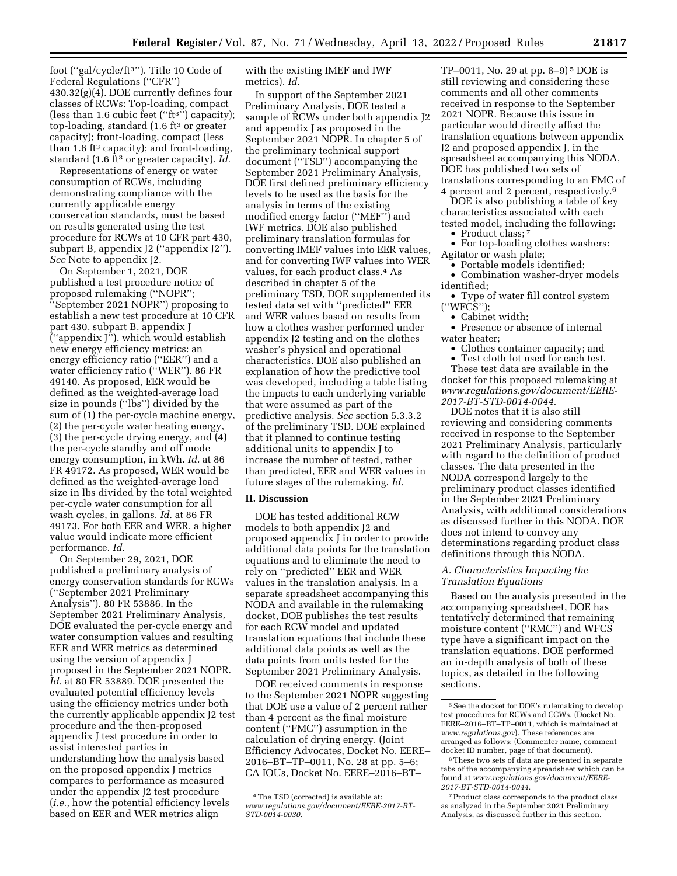foot (''gal/cycle/ft3''). Title 10 Code of Federal Regulations (''CFR'') 430.32(g)(4). DOE currently defines four metrics). *Id.* 

classes of RCWs: Top-loading, compact (less than 1.6 cubic feet (" $ft<sup>3</sup>$ ") capacity); top-loading, standard (1.6 ft<sup>3</sup> or greater capacity); front-loading, compact (less than 1.6 ft<sup>3</sup> capacity); and front-loading, standard (1.6 ft3 or greater capacity). *Id.*  Representations of energy or water consumption of RCWs, including demonstrating compliance with the currently applicable energy conservation standards, must be based on results generated using the test procedure for RCWs at 10 CFR part 430, subpart B, appendix J2 (''appendix J2''). *See* Note to appendix J2. On September 1, 2021, DOE published a test procedure notice of proposed rulemaking (''NOPR''; ''September 2021 NOPR'') proposing to establish a new test procedure at 10 CFR part 430, subpart B, appendix J (''appendix J''), which would establish

new energy efficiency metrics: an energy efficiency ratio (''EER'') and a water efficiency ratio (''WER''). 86 FR 49140. As proposed, EER would be defined as the weighted-average load size in pounds (''lbs'') divided by the sum of (1) the per-cycle machine energy, (2) the per-cycle water heating energy, (3) the per-cycle drying energy, and (4) the per-cycle standby and off mode energy consumption, in kWh. *Id.* at 86 FR 49172. As proposed, WER would be defined as the weighted-average load size in lbs divided by the total weighted per-cycle water consumption for all wash cycles, in gallons. *Id.* at 86 FR 49173. For both EER and WER, a higher value would indicate more efficient performance. *Id.* 

On September 29, 2021, DOE published a preliminary analysis of energy conservation standards for RCWs (''September 2021 Preliminary Analysis''). 80 FR 53886. In the September 2021 Preliminary Analysis, DOE evaluated the per-cycle energy and water consumption values and resulting EER and WER metrics as determined using the version of appendix J proposed in the September 2021 NOPR. *Id.* at 80 FR 53889. DOE presented the evaluated potential efficiency levels using the efficiency metrics under both the currently applicable appendix J2 test procedure and the then-proposed appendix J test procedure in order to assist interested parties in understanding how the analysis based on the proposed appendix J metrics compares to performance as measured under the appendix J2 test procedure (*i.e.,* how the potential efficiency levels based on EER and WER metrics align

with the existing IMEF and IWF

In support of the September 2021 Preliminary Analysis, DOE tested a sample of RCWs under both appendix J2 and appendix J as proposed in the September 2021 NOPR. In chapter 5 of the preliminary technical support document (''TSD'') accompanying the September 2021 Preliminary Analysis, DOE first defined preliminary efficiency levels to be used as the basis for the analysis in terms of the existing modified energy factor (''MEF'') and IWF metrics. DOE also published preliminary translation formulas for converting IMEF values into EER values, and for converting IWF values into WER values, for each product class.4 As described in chapter 5 of the preliminary TSD, DOE supplemented its tested data set with ''predicted'' EER and WER values based on results from how a clothes washer performed under appendix J2 testing and on the clothes washer's physical and operational characteristics. DOE also published an explanation of how the predictive tool was developed, including a table listing the impacts to each underlying variable that were assumed as part of the predictive analysis. *See* section 5.3.3.2 of the preliminary TSD. DOE explained that it planned to continue testing additional units to appendix J to increase the number of tested, rather than predicted, EER and WER values in future stages of the rulemaking. *Id.* 

## **II. Discussion**

DOE has tested additional RCW models to both appendix J2 and proposed appendix J in order to provide additional data points for the translation equations and to eliminate the need to rely on ''predicted'' EER and WER values in the translation analysis. In a separate spreadsheet accompanying this NODA and available in the rulemaking docket, DOE publishes the test results for each RCW model and updated translation equations that include these additional data points as well as the data points from units tested for the September 2021 Preliminary Analysis.

DOE received comments in response to the September 2021 NOPR suggesting that DOE use a value of 2 percent rather than 4 percent as the final moisture content (''FMC'') assumption in the calculation of drying energy. (Joint Efficiency Advocates, Docket No. EERE– 2016–BT–TP–0011, No. 28 at pp. 5–6; CA IOUs, Docket No. EERE–2016–BT–

TP–0011, No. 29 at pp. 8–9) 5 DOE is still reviewing and considering these comments and all other comments received in response to the September 2021 NOPR. Because this issue in particular would directly affect the translation equations between appendix J2 and proposed appendix J, in the spreadsheet accompanying this NODA, DOE has published two sets of translations corresponding to an FMC of 4 percent and 2 percent, respectively.6

DOE is also publishing a table of key characteristics associated with each tested model, including the following:

• Product class;<sup>7</sup>

• For top-loading clothes washers: Agitator or wash plate;

- Portable models identified;
- Combination washer-dryer models identified;
- Type of water fill control system  $(''WF\ddot{\mathbf{C}}\mathbf{S}$ "):
	- Cabinet width;

• Presence or absence of internal water heater;

- Clothes container capacity; and
- Test cloth lot used for each test.

These test data are available in the docket for this proposed rulemaking at *[www.regulations.gov/document/EERE-](http://www.regulations.gov/document/EERE-2017-BT-STD-0014-0044)[2017-BT-STD-0014-0044.](http://www.regulations.gov/document/EERE-2017-BT-STD-0014-0044)* 

DOE notes that it is also still reviewing and considering comments received in response to the September 2021 Preliminary Analysis, particularly with regard to the definition of product classes. The data presented in the NODA correspond largely to the preliminary product classes identified in the September 2021 Preliminary Analysis, with additional considerations as discussed further in this NODA. DOE does not intend to convey any determinations regarding product class definitions through this NODA.

## *A. Characteristics Impacting the Translation Equations*

Based on the analysis presented in the accompanying spreadsheet, DOE has tentatively determined that remaining moisture content (''RMC'') and WFCS type have a significant impact on the translation equations. DOE performed an in-depth analysis of both of these topics, as detailed in the following sections.

<sup>4</sup>The TSD (corrected) is available at: *[www.regulations.gov/document/EERE-2017-BT-](http://www.regulations.gov/document/EERE-2017-BT-STD-0014-0030)[STD-0014-0030.](http://www.regulations.gov/document/EERE-2017-BT-STD-0014-0030)* 

<sup>5</sup>See the docket for DOE's rulemaking to develop test procedures for RCWs and CCWs. (Docket No. EERE–2016–BT–TP–0011, which is maintained at *[www.regulations.gov](http://www.regulations.gov)*). These references are arranged as follows: (Commenter name, comment docket ID number, page of that document).

 $^{\rm 6}$  These two sets of data are presented in separate tabs of the accompanying spreadsheet which can be found at *[www.regulations.gov/document/EERE-](http://www.regulations.gov/document/EERE-2017-BT-STD-0014-0044)[2017-BT-STD-0014-0044.](http://www.regulations.gov/document/EERE-2017-BT-STD-0014-0044)* 

<sup>7</sup>Product class corresponds to the product class as analyzed in the September 2021 Preliminary Analysis, as discussed further in this section.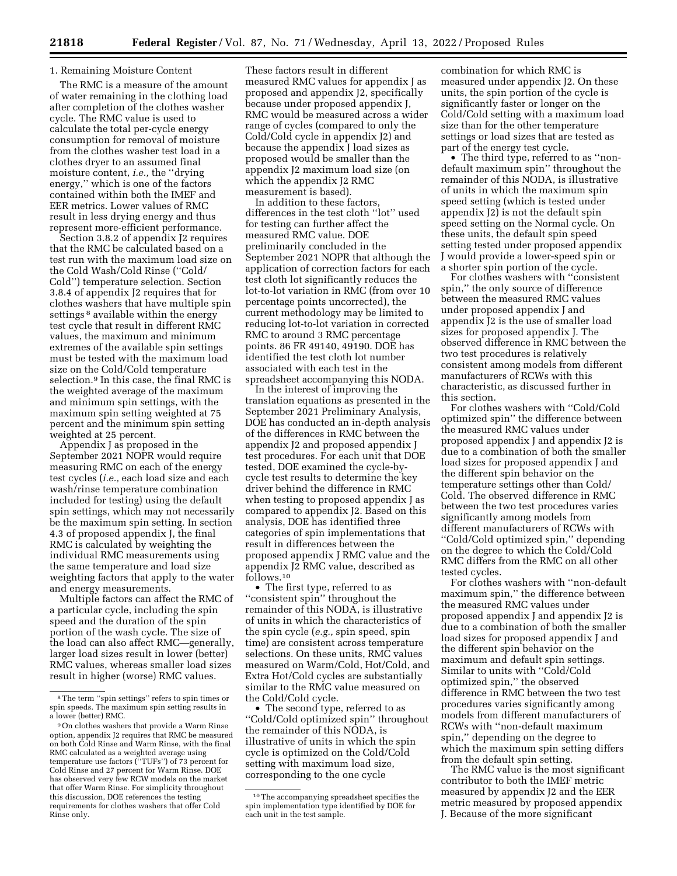# 1. Remaining Moisture Content

The RMC is a measure of the amount of water remaining in the clothing load after completion of the clothes washer cycle. The RMC value is used to calculate the total per-cycle energy consumption for removal of moisture from the clothes washer test load in a clothes dryer to an assumed final moisture content, *i.e.,* the ''drying energy,'' which is one of the factors contained within both the IMEF and EER metrics. Lower values of RMC result in less drying energy and thus represent more-efficient performance.

Section 3.8.2 of appendix J2 requires that the RMC be calculated based on a test run with the maximum load size on the Cold Wash/Cold Rinse (''Cold/ Cold'') temperature selection. Section 3.8.4 of appendix J2 requires that for clothes washers that have multiple spin settings<sup>8</sup> available within the energy test cycle that result in different RMC values, the maximum and minimum extremes of the available spin settings must be tested with the maximum load size on the Cold/Cold temperature selection.9 In this case, the final RMC is the weighted average of the maximum and minimum spin settings, with the maximum spin setting weighted at 75 percent and the minimum spin setting weighted at 25 percent.

Appendix J as proposed in the September 2021 NOPR would require measuring RMC on each of the energy test cycles (*i.e.,* each load size and each wash/rinse temperature combination included for testing) using the default spin settings, which may not necessarily be the maximum spin setting. In section 4.3 of proposed appendix J, the final RMC is calculated by weighting the individual RMC measurements using the same temperature and load size weighting factors that apply to the water and energy measurements.

Multiple factors can affect the RMC of a particular cycle, including the spin speed and the duration of the spin portion of the wash cycle. The size of the load can also affect RMC—generally, larger load sizes result in lower (better) RMC values, whereas smaller load sizes result in higher (worse) RMC values.

These factors result in different measured RMC values for appendix J as proposed and appendix J2, specifically because under proposed appendix J, RMC would be measured across a wider range of cycles (compared to only the Cold/Cold cycle in appendix J2) and because the appendix J load sizes as proposed would be smaller than the appendix J2 maximum load size (on which the appendix J2 RMC measurement is based).

In addition to these factors, differences in the test cloth ''lot'' used for testing can further affect the measured RMC value. DOE preliminarily concluded in the September 2021 NOPR that although the application of correction factors for each test cloth lot significantly reduces the lot-to-lot variation in RMC (from over 10 percentage points uncorrected), the current methodology may be limited to reducing lot-to-lot variation in corrected RMC to around 3 RMC percentage points. 86 FR 49140, 49190. DOE has identified the test cloth lot number associated with each test in the spreadsheet accompanying this NODA.

In the interest of improving the translation equations as presented in the September 2021 Preliminary Analysis, DOE has conducted an in-depth analysis of the differences in RMC between the appendix J2 and proposed appendix J test procedures. For each unit that DOE tested, DOE examined the cycle-bycycle test results to determine the key driver behind the difference in RMC when testing to proposed appendix J as compared to appendix J2. Based on this analysis, DOE has identified three categories of spin implementations that result in differences between the proposed appendix J RMC value and the appendix J2 RMC value, described as follows.10

• The first type, referred to as ''consistent spin'' throughout the remainder of this NODA, is illustrative of units in which the characteristics of the spin cycle (*e.g.,* spin speed, spin time) are consistent across temperature selections. On these units, RMC values measured on Warm/Cold, Hot/Cold, and Extra Hot/Cold cycles are substantially similar to the RMC value measured on the Cold/Cold cycle.

• The second type, referred to as ''Cold/Cold optimized spin'' throughout the remainder of this NODA, is illustrative of units in which the spin cycle is optimized on the Cold/Cold setting with maximum load size, corresponding to the one cycle

combination for which RMC is measured under appendix J2. On these units, the spin portion of the cycle is significantly faster or longer on the Cold/Cold setting with a maximum load size than for the other temperature settings or load sizes that are tested as part of the energy test cycle.

• The third type, referred to as ''nondefault maximum spin'' throughout the remainder of this NODA, is illustrative of units in which the maximum spin speed setting (which is tested under appendix J2) is not the default spin speed setting on the Normal cycle. On these units, the default spin speed setting tested under proposed appendix J would provide a lower-speed spin or a shorter spin portion of the cycle.

For clothes washers with ''consistent spin,'' the only source of difference between the measured RMC values under proposed appendix J and appendix J2 is the use of smaller load sizes for proposed appendix J. The observed difference in RMC between the two test procedures is relatively consistent among models from different manufacturers of RCWs with this characteristic, as discussed further in this section.

For clothes washers with ''Cold/Cold optimized spin'' the difference between the measured RMC values under proposed appendix J and appendix J2 is due to a combination of both the smaller load sizes for proposed appendix J and the different spin behavior on the temperature settings other than Cold/ Cold. The observed difference in RMC between the two test procedures varies significantly among models from different manufacturers of RCWs with ''Cold/Cold optimized spin,'' depending on the degree to which the Cold/Cold RMC differs from the RMC on all other tested cycles.

For clothes washers with ''non-default maximum spin,'' the difference between the measured RMC values under proposed appendix J and appendix J2 is due to a combination of both the smaller load sizes for proposed appendix J and the different spin behavior on the maximum and default spin settings. Similar to units with ''Cold/Cold optimized spin,'' the observed difference in RMC between the two test procedures varies significantly among models from different manufacturers of RCWs with ''non-default maximum spin,'' depending on the degree to which the maximum spin setting differs from the default spin setting.

The RMC value is the most significant contributor to both the IMEF metric measured by appendix J2 and the EER metric measured by proposed appendix J. Because of the more significant

<sup>8</sup>The term ''spin settings'' refers to spin times or spin speeds. The maximum spin setting results in a lower (better) RMC.

<sup>9</sup>On clothes washers that provide a Warm Rinse option, appendix J2 requires that RMC be measured on both Cold Rinse and Warm Rinse, with the final RMC calculated as a weighted average using temperature use factors (''TUFs'') of 73 percent for Cold Rinse and 27 percent for Warm Rinse. DOE has observed very few RCW models on the market that offer Warm Rinse. For simplicity throughout this discussion, DOE references the testing requirements for clothes washers that offer Cold Rinse only.

<sup>10</sup>The accompanying spreadsheet specifies the spin implementation type identified by DOE for each unit in the test sample.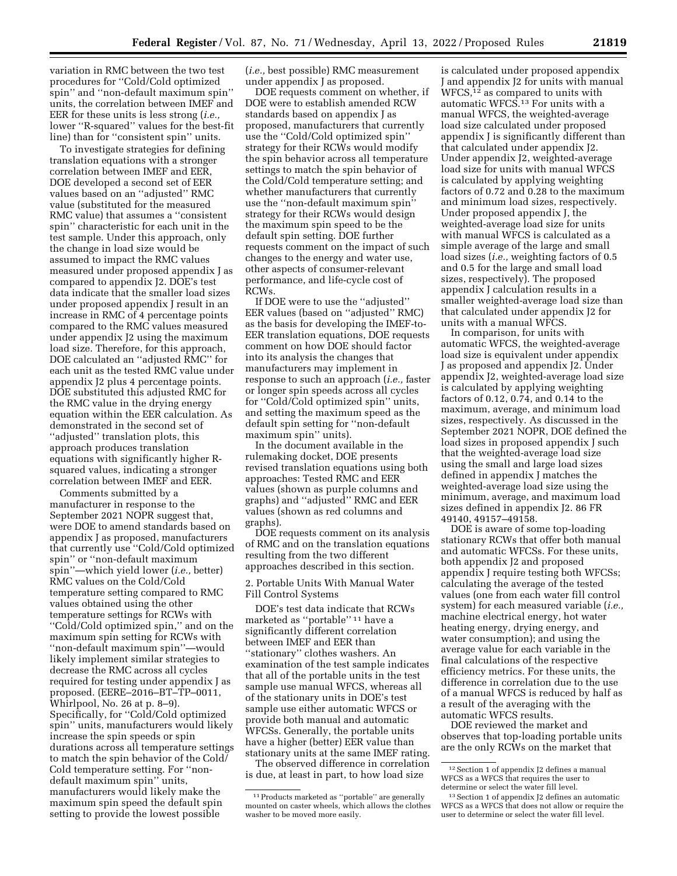variation in RMC between the two test procedures for ''Cold/Cold optimized spin'' and ''non-default maximum spin'' units, the correlation between IMEF and EER for these units is less strong (*i.e.,*  lower ''R-squared'' values for the best-fit line) than for ''consistent spin'' units.

To investigate strategies for defining translation equations with a stronger correlation between IMEF and EER, DOE developed a second set of EER values based on an ''adjusted'' RMC value (substituted for the measured RMC value) that assumes a ''consistent spin'' characteristic for each unit in the test sample. Under this approach, only the change in load size would be assumed to impact the RMC values measured under proposed appendix J as compared to appendix J2. DOE's test data indicate that the smaller load sizes under proposed appendix J result in an increase in RMC of 4 percentage points compared to the RMC values measured under appendix J2 using the maximum load size. Therefore, for this approach, DOE calculated an ''adjusted RMC'' for each unit as the tested RMC value under appendix J2 plus 4 percentage points. DOE substituted this adjusted RMC for the RMC value in the drying energy equation within the EER calculation. As demonstrated in the second set of ''adjusted'' translation plots, this approach produces translation equations with significantly higher Rsquared values, indicating a stronger correlation between IMEF and EER.

Comments submitted by a manufacturer in response to the September 2021 NOPR suggest that, were DOE to amend standards based on appendix J as proposed, manufacturers that currently use ''Cold/Cold optimized spin'' or ''non-default maximum spin''—which yield lower (*i.e.,* better) RMC values on the Cold/Cold temperature setting compared to RMC values obtained using the other temperature settings for RCWs with ''Cold/Cold optimized spin,'' and on the maximum spin setting for RCWs with ''non-default maximum spin''—would likely implement similar strategies to decrease the RMC across all cycles required for testing under appendix J as proposed. (EERE–2016–BT–TP–0011, Whirlpool, No. 26 at p. 8–9). Specifically, for ''Cold/Cold optimized spin'' units, manufacturers would likely increase the spin speeds or spin durations across all temperature settings to match the spin behavior of the Cold/ Cold temperature setting. For ''nondefault maximum spin'' units, manufacturers would likely make the maximum spin speed the default spin setting to provide the lowest possible

(*i.e.,* best possible) RMC measurement under appendix J as proposed.

DOE requests comment on whether, if DOE were to establish amended RCW standards based on appendix J as proposed, manufacturers that currently use the ''Cold/Cold optimized spin'' strategy for their RCWs would modify the spin behavior across all temperature settings to match the spin behavior of the Cold/Cold temperature setting; and whether manufacturers that currently use the ''non-default maximum spin'' strategy for their RCWs would design the maximum spin speed to be the default spin setting. DOE further requests comment on the impact of such changes to the energy and water use, other aspects of consumer-relevant performance, and life-cycle cost of RCWs.

If DOE were to use the ''adjusted'' EER values (based on ''adjusted'' RMC) as the basis for developing the IMEF-to-EER translation equations, DOE requests comment on how DOE should factor into its analysis the changes that manufacturers may implement in response to such an approach (*i.e.,* faster or longer spin speeds across all cycles for ''Cold/Cold optimized spin'' units, and setting the maximum speed as the default spin setting for ''non-default maximum spin'' units).

In the document available in the rulemaking docket, DOE presents revised translation equations using both approaches: Tested RMC and EER values (shown as purple columns and graphs) and ''adjusted'' RMC and EER values (shown as red columns and graphs).

DOE requests comment on its analysis of RMC and on the translation equations resulting from the two different approaches described in this section.

2. Portable Units With Manual Water Fill Control Systems

DOE's test data indicate that RCWs marketed as ''portable'' 11 have a significantly different correlation between IMEF and EER than ''stationary'' clothes washers. An examination of the test sample indicates that all of the portable units in the test sample use manual WFCS, whereas all of the stationary units in DOE's test sample use either automatic WFCS or provide both manual and automatic WFCSs. Generally, the portable units have a higher (better) EER value than stationary units at the same IMEF rating.

The observed difference in correlation is due, at least in part, to how load size

is calculated under proposed appendix J and appendix J2 for units with manual WFCS,12 as compared to units with automatic WFCS.13 For units with a manual WFCS, the weighted-average load size calculated under proposed appendix J is significantly different than that calculated under appendix J2. Under appendix J2, weighted-average load size for units with manual WFCS is calculated by applying weighting factors of 0.72 and 0.28 to the maximum and minimum load sizes, respectively. Under proposed appendix J, the weighted-average load size for units with manual WFCS is calculated as a simple average of the large and small load sizes (*i.e.,* weighting factors of 0.5 and 0.5 for the large and small load sizes, respectively). The proposed appendix J calculation results in a smaller weighted-average load size than that calculated under appendix J2 for units with a manual WFCS.

In comparison, for units with automatic WFCS, the weighted-average load size is equivalent under appendix J as proposed and appendix J2. Under appendix J2, weighted-average load size is calculated by applying weighting factors of 0.12, 0.74, and 0.14 to the maximum, average, and minimum load sizes, respectively. As discussed in the September 2021 NOPR, DOE defined the load sizes in proposed appendix J such that the weighted-average load size using the small and large load sizes defined in appendix J matches the weighted-average load size using the minimum, average, and maximum load sizes defined in appendix J2. 86 FR 49140, 49157–49158.

DOE is aware of some top-loading stationary RCWs that offer both manual and automatic WFCSs. For these units, both appendix J2 and proposed appendix J require testing both WFCSs; calculating the average of the tested values (one from each water fill control system) for each measured variable (*i.e.,*  machine electrical energy, hot water heating energy, drying energy, and water consumption); and using the average value for each variable in the final calculations of the respective efficiency metrics. For these units, the difference in correlation due to the use of a manual WFCS is reduced by half as a result of the averaging with the automatic WFCS results.

DOE reviewed the market and observes that top-loading portable units are the only RCWs on the market that

<sup>11</sup>Products marketed as ''portable'' are generally mounted on caster wheels, which allows the clothes washer to be moved more easily.

<sup>12</sup>Section 1 of appendix J2 defines a manual WFCS as a WFCS that requires the user to determine or select the water fill level.

<sup>13</sup>Section 1 of appendix J2 defines an automatic WFCS as a WFCS that does not allow or require the user to determine or select the water fill level.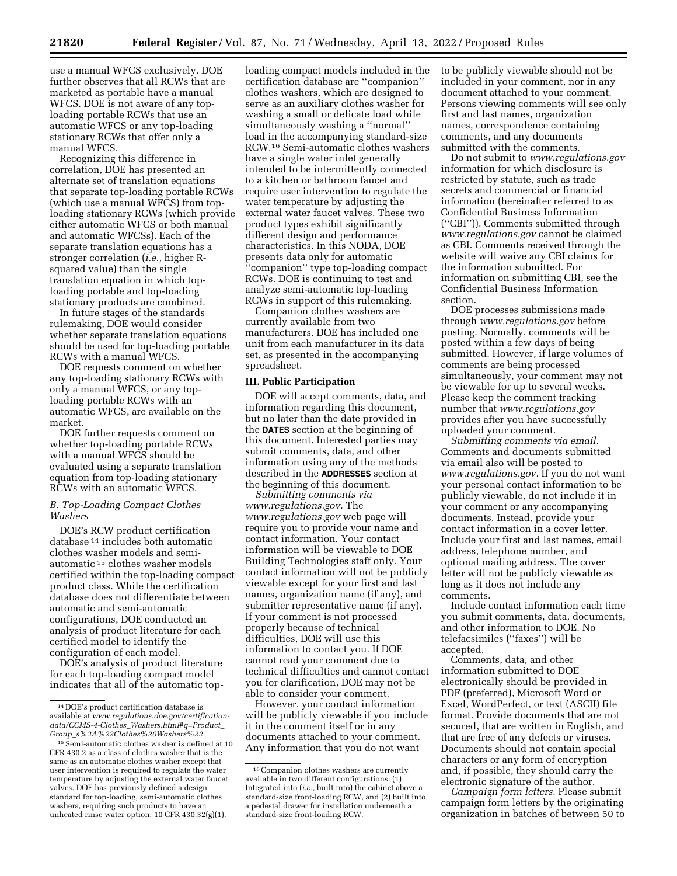use a manual WFCS exclusively. DOE further observes that all RCWs that are marketed as portable have a manual WFCS. DOE is not aware of any toploading portable RCWs that use an automatic WFCS or any top-loading stationary RCWs that offer only a manual WFCS.

Recognizing this difference in correlation, DOE has presented an alternate set of translation equations that separate top-loading portable RCWs (which use a manual WFCS) from toploading stationary RCWs (which provide either automatic WFCS or both manual and automatic WFCSs). Each of the separate translation equations has a stronger correlation (*i.e.,* higher Rsquared value) than the single translation equation in which toploading portable and top-loading stationary products are combined.

In future stages of the standards rulemaking, DOE would consider whether separate translation equations should be used for top-loading portable RCWs with a manual WFCS.

DOE requests comment on whether any top-loading stationary RCWs with only a manual WFCS, or any toploading portable RCWs with an automatic WFCS, are available on the market.

DOE further requests comment on whether top-loading portable RCWs with a manual WFCS should be evaluated using a separate translation equation from top-loading stationary RCWs with an automatic WFCS.

## *B. Top-Loading Compact Clothes Washers*

DOE's RCW product certification database 14 includes both automatic clothes washer models and semiautomatic 15 clothes washer models certified within the top-loading compact product class. While the certification database does not differentiate between automatic and semi-automatic configurations, DOE conducted an analysis of product literature for each certified model to identify the configuration of each model.

DOE's analysis of product literature for each top-loading compact model indicates that all of the automatic top-

loading compact models included in the certification database are ''companion'' clothes washers, which are designed to serve as an auxiliary clothes washer for washing a small or delicate load while simultaneously washing a ''normal'' load in the accompanying standard-size RCW.16 Semi-automatic clothes washers have a single water inlet generally intended to be intermittently connected to a kitchen or bathroom faucet and require user intervention to regulate the water temperature by adjusting the external water faucet valves. These two product types exhibit significantly different design and performance characteristics. In this NODA, DOE presents data only for automatic 'companion'' type top-loading compact RCWs. DOE is continuing to test and analyze semi-automatic top-loading RCWs in support of this rulemaking.

Companion clothes washers are currently available from two manufacturers. DOE has included one unit from each manufacturer in its data set, as presented in the accompanying spreadsheet.

## **III. Public Participation**

DOE will accept comments, data, and information regarding this document, but no later than the date provided in the **DATES** section at the beginning of this document. Interested parties may submit comments, data, and other information using any of the methods described in the **ADDRESSES** section at the beginning of this document.

*Submitting comments via [www.regulations.gov.](http://www.regulations.gov)* The *[www.regulations.gov](http://www.regulations.gov)* web page will require you to provide your name and contact information. Your contact information will be viewable to DOE Building Technologies staff only. Your contact information will not be publicly viewable except for your first and last names, organization name (if any), and submitter representative name (if any). If your comment is not processed properly because of technical difficulties, DOE will use this information to contact you. If DOE cannot read your comment due to technical difficulties and cannot contact you for clarification, DOE may not be able to consider your comment.

However, your contact information will be publicly viewable if you include it in the comment itself or in any documents attached to your comment. Any information that you do not want

to be publicly viewable should not be included in your comment, nor in any document attached to your comment. Persons viewing comments will see only first and last names, organization names, correspondence containing comments, and any documents submitted with the comments.

Do not submit to *[www.regulations.gov](http://www.regulations.gov)*  information for which disclosure is restricted by statute, such as trade secrets and commercial or financial information (hereinafter referred to as Confidential Business Information (''CBI'')). Comments submitted through *[www.regulations.gov](http://www.regulations.gov)* cannot be claimed as CBI. Comments received through the website will waive any CBI claims for the information submitted. For information on submitting CBI, see the Confidential Business Information section.

DOE processes submissions made through *[www.regulations.gov](http://www.regulations.gov)* before posting. Normally, comments will be posted within a few days of being submitted. However, if large volumes of comments are being processed simultaneously, your comment may not be viewable for up to several weeks. Please keep the comment tracking number that *[www.regulations.gov](http://www.regulations.gov)*  provides after you have successfully uploaded your comment.

*Submitting comments via email.*  Comments and documents submitted via email also will be posted to *[www.regulations.gov.](http://www.regulations.gov)* If you do not want your personal contact information to be publicly viewable, do not include it in your comment or any accompanying documents. Instead, provide your contact information in a cover letter. Include your first and last names, email address, telephone number, and optional mailing address. The cover letter will not be publicly viewable as long as it does not include any comments.

Include contact information each time you submit comments, data, documents, and other information to DOE. No telefacsimiles (''faxes'') will be accepted.

Comments, data, and other information submitted to DOE electronically should be provided in PDF (preferred), Microsoft Word or Excel, WordPerfect, or text (ASCII) file format. Provide documents that are not secured, that are written in English, and that are free of any defects or viruses. Documents should not contain special characters or any form of encryption and, if possible, they should carry the electronic signature of the author.

*Campaign form letters.* Please submit campaign form letters by the originating organization in batches of between 50 to

<sup>14</sup> DOE's product certification database is available at *[www.regulations.doe.gov/certification](http://www.regulations.doe.gov/certification-data/CCMS-4-Clothes_Washers.html#q=Product_Group_s%3A%22Clothes%20Washers%22)data/CCMS-4-Clothes*\_*[Washers.html#q=Product](http://www.regulations.doe.gov/certification-data/CCMS-4-Clothes_Washers.html#q=Product_Group_s%3A%22Clothes%20Washers%22)*\_ *Group*\_*[s%3A%22Clothes%20Washers%22.](http://www.regulations.doe.gov/certification-data/CCMS-4-Clothes_Washers.html#q=Product_Group_s%3A%22Clothes%20Washers%22)* 

<sup>15</sup>Semi-automatic clothes washer is defined at 10 CFR 430.2 as a class of clothes washer that is the same as an automatic clothes washer except that user intervention is required to regulate the water temperature by adjusting the external water faucet valves. DOE has previously defined a design standard for top-loading, semi-automatic clothes washers, requiring such products to have an unheated rinse water option. 10 CFR 430.32(g)(1).

<sup>&</sup>lt;sup>16</sup> Companion clothes washers are currently available in two different configurations: (1) Integrated into (*i.e.,* built into) the cabinet above a standard-size front-loading RCW, and (2) built into a pedestal drawer for installation underneath a standard-size front-loading RCW.